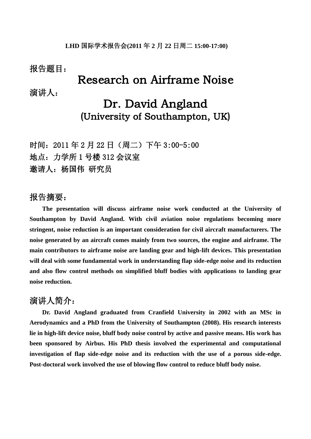### 报告题目:

## Research on Airframe Noise

演讲人:

# Dr. David Angland (University of Southampton, UK)

时间:2011 年 2 月 22 日(周二)下午 3:00-5:00 地点:力学所 1 号楼 312 会议室 邀请人:杨国伟 研究员

#### 报告摘要:

**The presentation will discuss airframe noise work conducted at the University of Southampton by David Angland. With civil aviation noise regulations becoming more stringent, noise reduction is an important consideration for civil aircraft manufacturers. The noise generated by an aircraft comes mainly from two sources, the engine and airframe. The main contributors to airframe noise are landing gear and high-lift devices. This presentation will deal with some fundamental work in understanding flap side-edge noise and its reduction and also flow control methods on simplified bluff bodies with applications to landing gear noise reduction.**

## 演讲人简介:

**Dr. David Angland graduated from Cranfield University in 2002 with an MSc in Aerodynamics and a PhD from the University of Southampton (2008). His research interests lie in high-lift device noise, bluff body noise control by active and passive means. His work has been sponsored by Airbus. His PhD thesis involved the experimental and computational investigation of flap side-edge noise and its reduction with the use of a porous side-edge. Post-doctoral work involved the use of blowing flow control to reduce bluff body noise.**